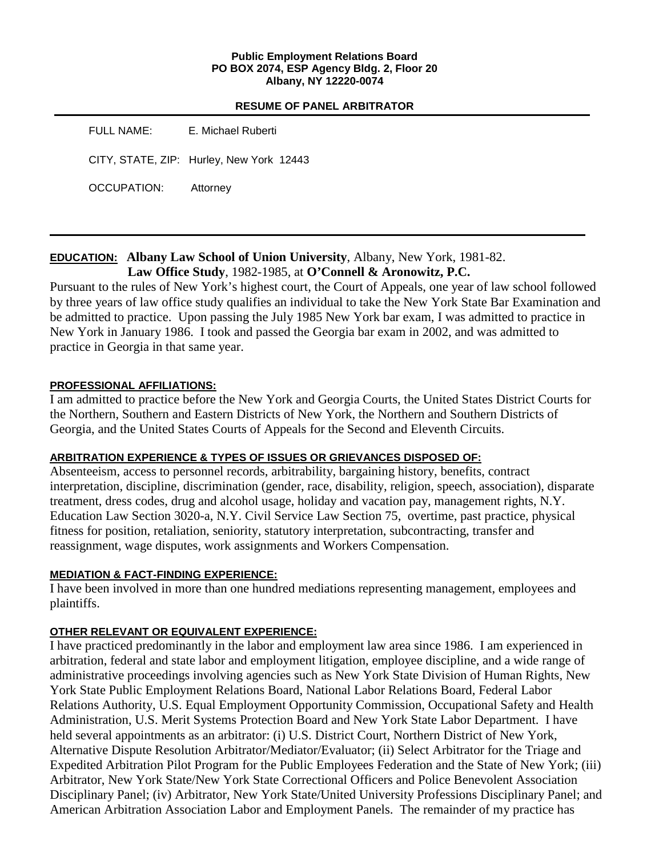#### **Public Employment Relations Board PO BOX 2074, ESP Agency Bldg. 2, Floor 20 Albany, NY 12220-0074**

#### **RESUME OF PANEL ARBITRATOR**

| FULL NAME:  | E. Michael Ruberti                       |
|-------------|------------------------------------------|
|             | CITY, STATE, ZIP: Hurley, New York 12443 |
| OCCUPATION: | Attorney                                 |

# **EDUCATION: Albany Law School of Union University**, Albany, New York, 1981-82. **Law Office Study**, 1982-1985, at **O'Connell & Aronowitz, P.C.**

Pursuant to the rules of New York's highest court, the Court of Appeals, one year of law school followed by three years of law office study qualifies an individual to take the New York State Bar Examination and be admitted to practice. Upon passing the July 1985 New York bar exam, I was admitted to practice in New York in January 1986. I took and passed the Georgia bar exam in 2002, and was admitted to practice in Georgia in that same year.

## **PROFESSIONAL AFFILIATIONS:**

I am admitted to practice before the New York and Georgia Courts, the United States District Courts for the Northern, Southern and Eastern Districts of New York, the Northern and Southern Districts of Georgia, and the United States Courts of Appeals for the Second and Eleventh Circuits.

## **ARBITRATION EXPERIENCE & TYPES OF ISSUES OR GRIEVANCES DISPOSED OF:**

Absenteeism, access to personnel records, arbitrability, bargaining history, benefits, contract interpretation, discipline, discrimination (gender, race, disability, religion, speech, association), disparate treatment, dress codes, drug and alcohol usage, holiday and vacation pay, management rights, N.Y. Education Law Section 3020-a, N.Y. Civil Service Law Section 75, overtime, past practice, physical fitness for position, retaliation, seniority, statutory interpretation, subcontracting, transfer and reassignment, wage disputes, work assignments and Workers Compensation.

## **MEDIATION & FACT-FINDING EXPERIENCE:**

I have been involved in more than one hundred mediations representing management, employees and plaintiffs.

## **OTHER RELEVANT OR EQUIVALENT EXPERIENCE:**

I have practiced predominantly in the labor and employment law area since 1986. I am experienced in arbitration, federal and state labor and employment litigation, employee discipline, and a wide range of administrative proceedings involving agencies such as New York State Division of Human Rights, New York State Public Employment Relations Board, National Labor Relations Board, Federal Labor Relations Authority, U.S. Equal Employment Opportunity Commission, Occupational Safety and Health Administration, U.S. Merit Systems Protection Board and New York State Labor Department. I have held several appointments as an arbitrator: (i) U.S. District Court, Northern District of New York, Alternative Dispute Resolution Arbitrator/Mediator/Evaluator; (ii) Select Arbitrator for the Triage and Expedited Arbitration Pilot Program for the Public Employees Federation and the State of New York; (iii) Arbitrator, New York State/New York State Correctional Officers and Police Benevolent Association Disciplinary Panel; (iv) Arbitrator, New York State/United University Professions Disciplinary Panel; and American Arbitration Association Labor and Employment Panels. The remainder of my practice has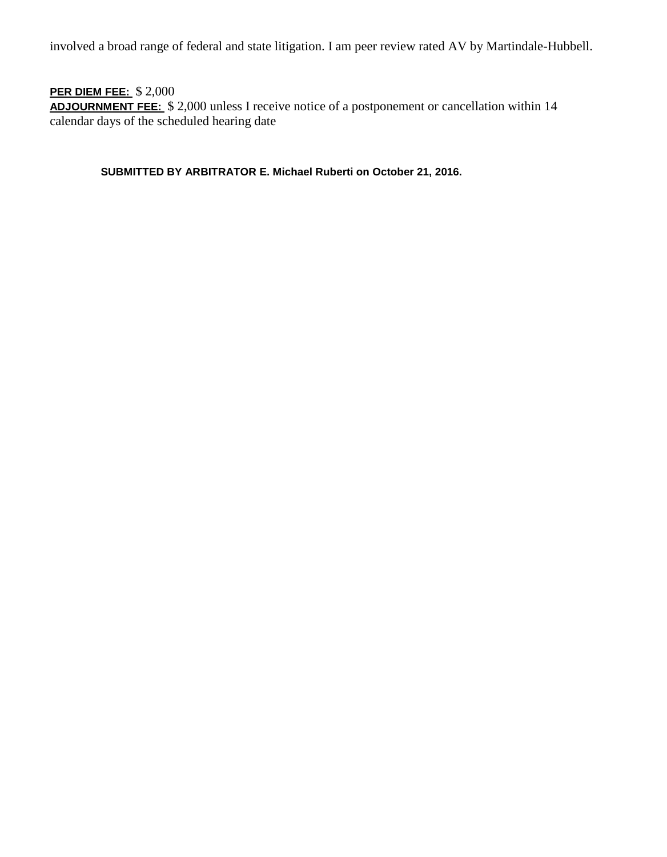involved a broad range of federal and state litigation. I am peer review rated AV by Martindale-Hubbell.

# **PER DIEM FEE:** \$ 2,000

**ADJOURNMENT FEE:** \$ 2,000 unless I receive notice of a postponement or cancellation within 14 calendar days of the scheduled hearing date

**SUBMITTED BY ARBITRATOR E. Michael Ruberti on October 21, 2016.**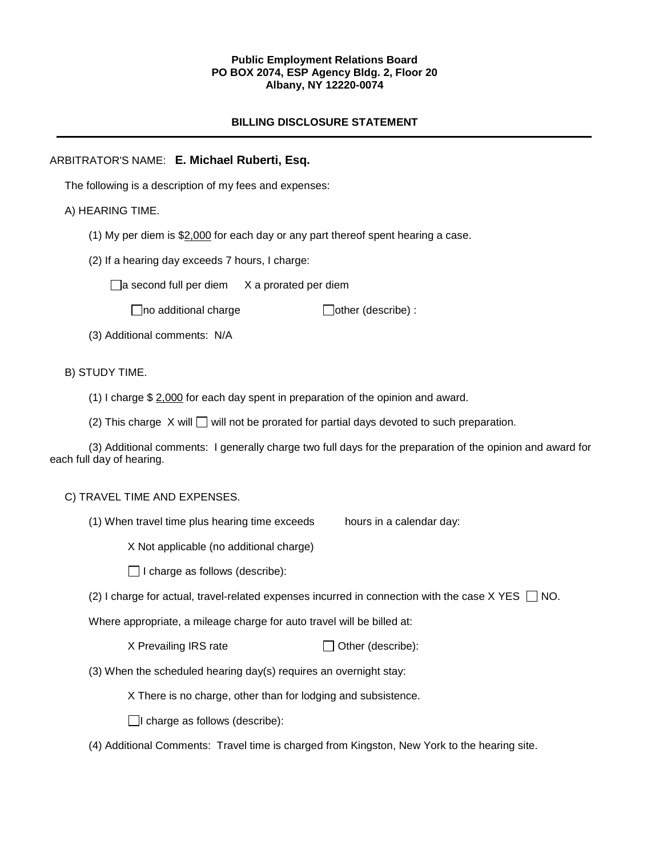#### **Public Employment Relations Board PO BOX 2074, ESP Agency Bldg. 2, Floor 20 Albany, NY 12220-0074**

### **BILLING DISCLOSURE STATEMENT**

### ARBITRATOR'S NAME: **E. Michael Ruberti, Esq.**

The following is a description of my fees and expenses:

#### A) HEARING TIME.

- (1) My per diem is  $$2,000$  for each day or any part thereof spent hearing a case.
- (2) If a hearing day exceeds 7 hours, I charge:

 $\Box$ a second full per diem  $X$  a prorated per diem

 $\Box$ no additional charge  $\Box$ other (describe) :

(3) Additional comments: N/A

#### B) STUDY TIME.

- (1) I charge \$ 2,000 for each day spent in preparation of the opinion and award.
- (2) This charge  $X$  will  $\Box$  will not be prorated for partial days devoted to such preparation.

(3) Additional comments: I generally charge two full days for the preparation of the opinion and award for each full day of hearing.

#### C) TRAVEL TIME AND EXPENSES.

(1) When travel time plus hearing time exceeds hours in a calendar day:

X Not applicable (no additional charge)

 $\Box$  I charge as follows (describe):

(2) I charge for actual, travel-related expenses incurred in connection with the case  $X$  YES  $\Box$  NO.

Where appropriate, a mileage charge for auto travel will be billed at:

 $X$  Prevailing IRS rate  $\Box$  Other (describe):

(3) When the scheduled hearing day(s) requires an overnight stay:

X There is no charge, other than for lodging and subsistence.

 $\Box$ I charge as follows (describe):

(4) Additional Comments: Travel time is charged from Kingston, New York to the hearing site.